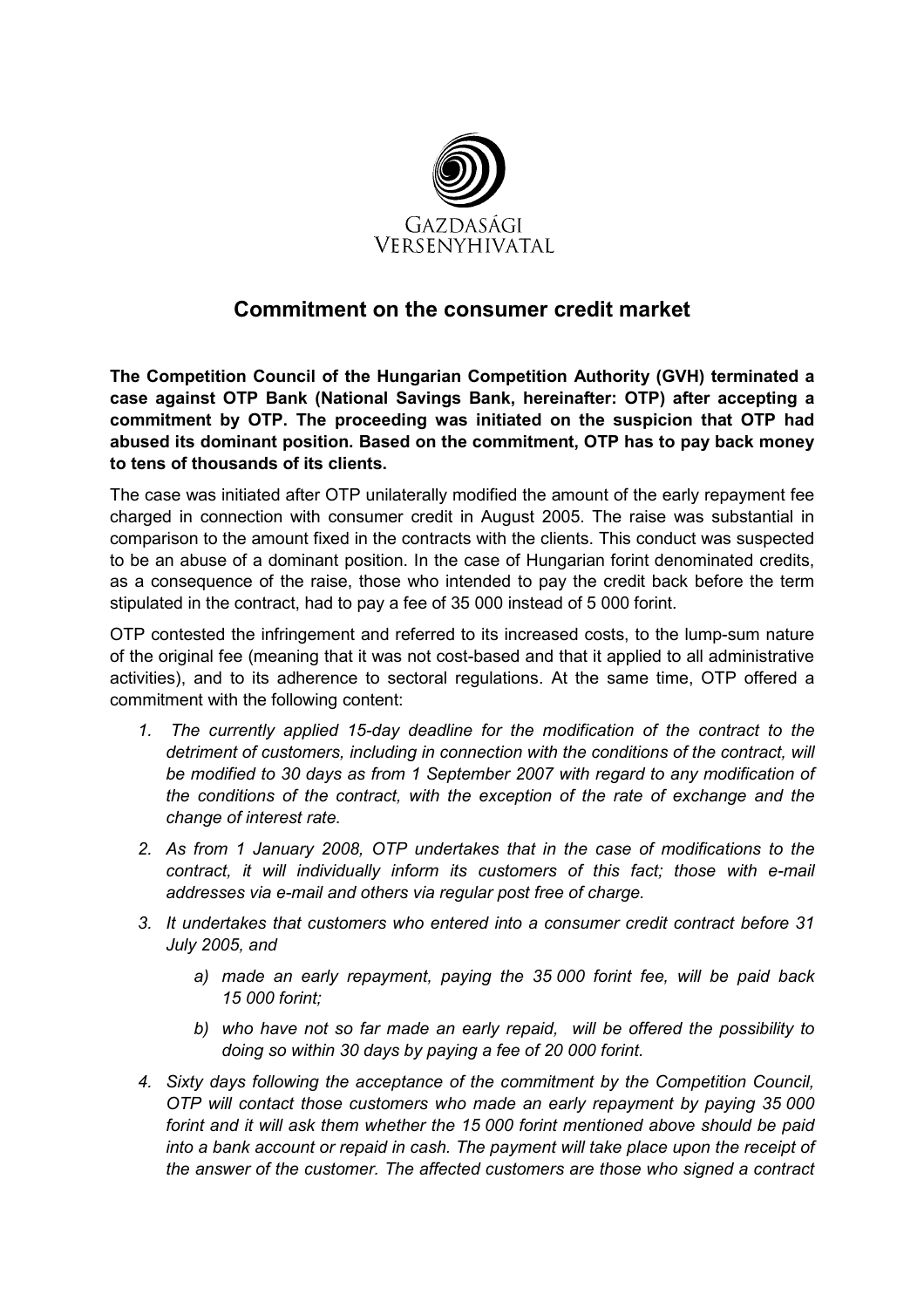

## Commitment on the consumer credit market

The Competition Council of the Hungarian Competition Authority (GVH) terminated a case against OTP Bank (National Savings Bank, hereinafter: OTP) after accepting a commitment by OTP. The proceeding was initiated on the suspicion that OTP had abused its dominant position. Based on the commitment, OTP has to pay back money to tens of thousands of its clients.

The case was initiated after OTP unilaterally modified the amount of the early repayment fee charged in connection with consumer credit in August 2005. The raise was substantial in comparison to the amount fixed in the contracts with the clients. This conduct was suspected to be an abuse of a dominant position. In the case of Hungarian forint denominated credits, as a consequence of the raise, those who intended to pay the credit back before the term stipulated in the contract, had to pay a fee of 35 000 instead of 5 000 forint.

OTP contested the infringement and referred to its increased costs, to the lump-sum nature of the original fee (meaning that it was not cost-based and that it applied to all administrative activities), and to its adherence to sectoral regulations. At the same time, OTP offered a commitment with the following content:

- 1. The currently applied 15-day deadline for the modification of the contract to the detriment of customers, including in connection with the conditions of the contract, will be modified to 30 days as from 1 September 2007 with regard to any modification of the conditions of the contract, with the exception of the rate of exchange and the change of interest rate.
- 2. As from 1 January 2008, OTP undertakes that in the case of modifications to the contract, it will individually inform its customers of this fact; those with e-mail addresses via e-mail and others via regular post free of charge.
- 3. It undertakes that customers who entered into a consumer credit contract before 31 July 2005, and
	- a) made an early repayment, paying the 35 000 forint fee, will be paid back 15 000 forint;
	- b) who have not so far made an early repaid, will be offered the possibility to doing so within 30 days by paying a fee of 20 000 forint.
- 4. Sixty days following the acceptance of the commitment by the Competition Council, OTP will contact those customers who made an early repayment by paying 35 000 forint and it will ask them whether the 15 000 forint mentioned above should be paid into a bank account or repaid in cash. The payment will take place upon the receipt of the answer of the customer. The affected customers are those who signed a contract